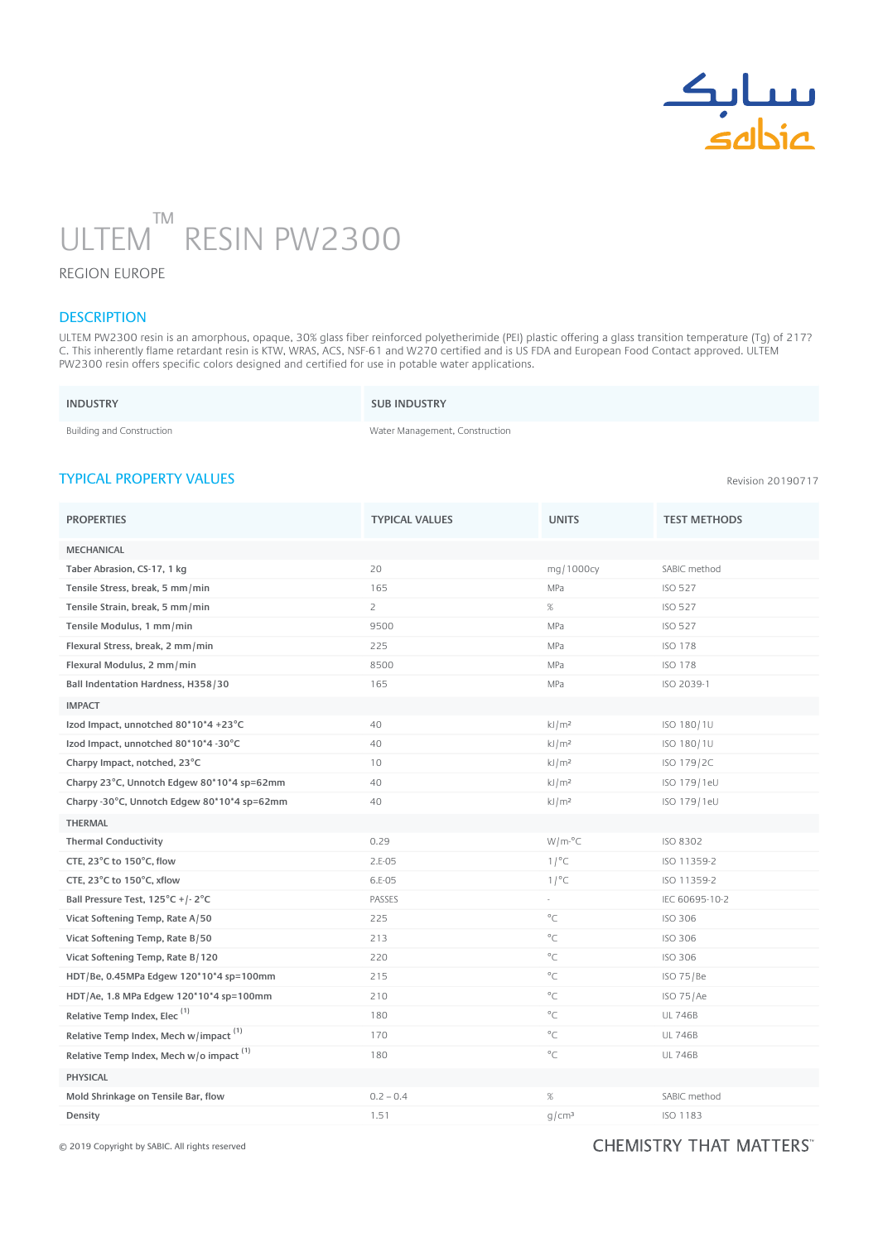

# ULTEM RESIN PW2300 ™ n

### REGION EUROPE

## **DESCRIPTION**

ULTEM PW2300 resin is an amorphous, opaque, 30% glass fiber reinforced polyetherimide (PEI) plastic offering a glass transition temperature (Tg) of 217? C. This inherently flame retardant resin is KTW, WRAS, ACS, NSF-61 and W270 certified and is US FDA and European Food Contact approved. ULTEM PW2300 resin offers specific colors designed and certified for use in potable water applications.

| <b>INDUSTRY</b>           | <b>SUB INDUSTRY</b>            |
|---------------------------|--------------------------------|
| Building and Construction | Water Management, Construction |

### TYPICAL PROPERTY VALUES

Revision 20190717

| <b>PROPERTIES</b>                                 | <b>TYPICAL VALUES</b> | <b>UNITS</b>      | <b>TEST METHODS</b> |
|---------------------------------------------------|-----------------------|-------------------|---------------------|
| <b>MECHANICAL</b>                                 |                       |                   |                     |
| Taber Abrasion, CS-17, 1 kg                       | 20                    | mg/1000cy         | SABIC method        |
| Tensile Stress, break, 5 mm/min                   | 165                   | MPa               | <b>ISO 527</b>      |
| Tensile Strain, break, 5 mm/min                   | $\overline{2}$        | %                 | <b>ISO 527</b>      |
| Tensile Modulus, 1 mm/min                         | 9500                  | MPa               | <b>ISO 527</b>      |
| Flexural Stress, break, 2 mm/min                  | 225                   | MPa               | <b>ISO 178</b>      |
| Flexural Modulus, 2 mm/min                        | 8500                  | MPa               | <b>ISO 178</b>      |
| Ball Indentation Hardness, H358/30                | 165                   | MPa               | ISO 2039-1          |
| <b>IMPACT</b>                                     |                       |                   |                     |
| Izod Impact, unnotched 80*10*4 +23°C              | 40                    | kJ/m <sup>2</sup> | ISO 180/1U          |
| Izod Impact, unnotched 80*10*4 -30°C              | 40                    | kJ/m <sup>2</sup> | ISO 180/1U          |
| Charpy Impact, notched, 23°C                      | 10                    | kJ/m <sup>2</sup> | ISO 179/2C          |
| Charpy 23°C, Unnotch Edgew 80*10*4 sp=62mm        | 40                    | kJ/m <sup>2</sup> | ISO 179/1eU         |
| Charpy -30°C, Unnotch Edgew 80*10*4 sp=62mm       | 40                    | kJ/m <sup>2</sup> | ISO 179/1eU         |
| <b>THERMAL</b>                                    |                       |                   |                     |
| <b>Thermal Conductivity</b>                       | 0.29                  | $W/m^oC$          | ISO 8302            |
| CTE, 23°C to 150°C, flow                          | $2.E-05$              | 1/°C              | ISO 11359-2         |
| CTE, 23°C to 150°C, xflow                         | 6.E-05                | 1/°C              | ISO 11359-2         |
| Ball Pressure Test, 125°C +/-2°C                  | PASSES                | ÷.                | IEC 60695-10-2      |
| Vicat Softening Temp, Rate A/50                   | 225                   | $^{\circ}$ C      | <b>ISO 306</b>      |
| Vicat Softening Temp, Rate B/50                   | 213                   | $^{\circ}$ C      | <b>ISO 306</b>      |
| Vicat Softening Temp, Rate B/120                  | 220                   | $^{\circ}$ C      | <b>ISO 306</b>      |
| HDT/Be, 0.45MPa Edgew 120*10*4 sp=100mm           | 215                   | $^{\circ}$ C      | ISO 75/Be           |
| HDT/Ae, 1.8 MPa Edgew 120*10*4 sp=100mm           | 210                   | $^{\circ}C$       | ISO 75/Ae           |
| Relative Temp Index, Elec <sup>(1)</sup>          | 180                   | $^{\circ}$ C      | <b>UL 746B</b>      |
| Relative Temp Index, Mech w/impact <sup>(1)</sup> | 170                   | °C                | <b>UL 746B</b>      |
| Relative Temp Index, Mech w/o impact $(1)$        | 180                   | $^{\circ}$ C      | <b>UL 746B</b>      |
| <b>PHYSICAL</b>                                   |                       |                   |                     |
| Mold Shrinkage on Tensile Bar, flow               | $0.2 - 0.4$           | $\%$              | SABIC method        |
| Density                                           | 1.51                  | g/cm <sup>3</sup> | <b>ISO 1183</b>     |

© 2019 Copyright by SABIC. All rights reserved

#### CHEMISTRY THAT MATTERS"  $M_{\odot}$  ,  $M_{\odot}$  ,  $M_{\odot}$  ,  $M_{\odot}$  ,  $M_{\odot}$  and  $M_{\odot}$  are  $M_{\odot}$  . Or  $M_{\odot}$  and  $M_{\odot}$  is  $M_{\odot}$  ,  $M_{\odot}$  ,  $M_{\odot}$  ,  $M_{\odot}$  ,  $M_{\odot}$  ,  $M_{\odot}$  ,  $M_{\odot}$  ,  $M_{\odot}$  ,  $M_{\odot}$  ,  $M_{\odot}$  ,  $M$